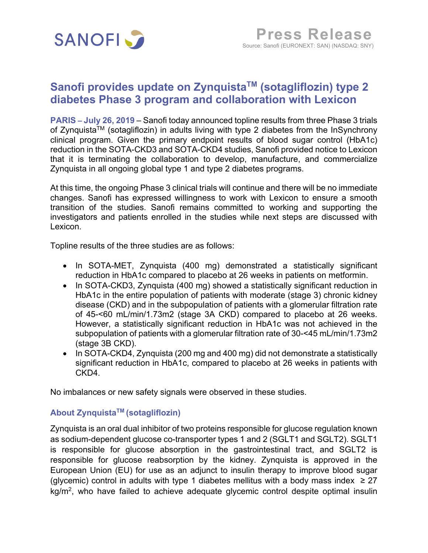

# **Sanofi provides update on ZynquistaTM (sotagliflozin) type 2 diabetes Phase 3 program and collaboration with Lexicon**

**PARIS – July 26, 2019** – Sanofi today announced topline results from three Phase 3 trials of Zynquista™ (sotagliflozin) in adults living with type 2 diabetes from the InSynchrony clinical program. Given the primary endpoint results of blood sugar control (HbA1c) reduction in the SOTA-CKD3 and SOTA-CKD4 studies, Sanofi provided notice to Lexicon that it is terminating the collaboration to develop, manufacture, and commercialize Zynquista in all ongoing global type 1 and type 2 diabetes programs.

At this time, the ongoing Phase 3 clinical trials will continue and there will be no immediate changes. Sanofi has expressed willingness to work with Lexicon to ensure a smooth transition of the studies. Sanofi remains committed to working and supporting the investigators and patients enrolled in the studies while next steps are discussed with Lexicon.

Topline results of the three studies are as follows:

- In SOTA-MET, Zynquista (400 mg) demonstrated a statistically significant reduction in HbA1c compared to placebo at 26 weeks in patients on metformin.
- In SOTA-CKD3, Zynquista (400 mg) showed a statistically significant reduction in HbA1c in the entire population of patients with moderate (stage 3) chronic kidney disease (CKD) and in the subpopulation of patients with a glomerular filtration rate of 45-<60 mL/min/1.73m2 (stage 3A CKD) compared to placebo at 26 weeks. However, a statistically significant reduction in HbA1c was not achieved in the subpopulation of patients with a glomerular filtration rate of 30-<45 mL/min/1.73m2 (stage 3B CKD).
- In SOTA-CKD4, Zynquista (200 mg and 400 mg) did not demonstrate a statistically significant reduction in HbA1c, compared to placebo at 26 weeks in patients with CKD4.

No imbalances or new safety signals were observed in these studies.

## **About ZynquistaTM (sotagliflozin)**

Zynquista is an oral dual inhibitor of two proteins responsible for glucose regulation known as sodium-dependent glucose co-transporter types 1 and 2 (SGLT1 and SGLT2). SGLT1 is responsible for glucose absorption in the gastrointestinal tract, and SGLT2 is responsible for glucose reabsorption by the kidney. Zynquista is approved in the European Union (EU) for use as an adjunct to insulin therapy to improve blood sugar (glycemic) control in adults with type 1 diabetes mellitus with a body mass index  $\geq 27$  $kg/m<sup>2</sup>$ , who have failed to achieve adequate glycemic control despite optimal insulin